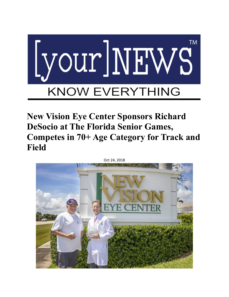

**New Vision Eye Center Sponsors Richard DeSocio at The Florida Senior Games, Competes in 70+ Age Category for Track and Field**